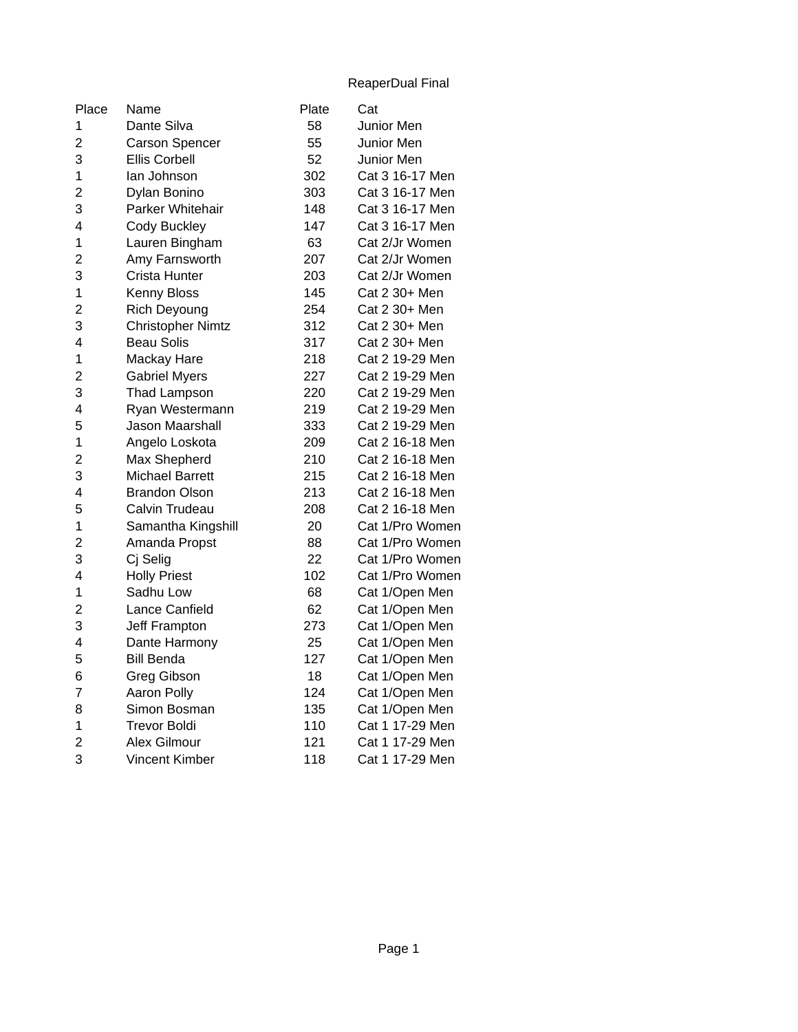ReaperDual Final

| Place                   | Name                     | Plate | Cat             |
|-------------------------|--------------------------|-------|-----------------|
| $\mathbf{1}$            | Dante Silva              | 58    | Junior Men      |
| $\overline{c}$          | <b>Carson Spencer</b>    | 55    | Junior Men      |
| 3                       | Ellis Corbell            | 52    | Junior Men      |
| $\mathbf{1}$            | lan Johnson              | 302   | Cat 3 16-17 Men |
| $\overline{c}$          | Dylan Bonino             | 303   | Cat 3 16-17 Men |
| 3                       | Parker Whitehair         | 148   | Cat 3 16-17 Men |
| 4                       | Cody Buckley             | 147   | Cat 3 16-17 Men |
| $\overline{1}$          | Lauren Bingham           | 63    | Cat 2/Jr Women  |
| $\overline{c}$          | Amy Farnsworth           | 207   | Cat 2/Jr Women  |
| 3                       | Crista Hunter            | 203   | Cat 2/Jr Women  |
| $\mathbf 1$             | Kenny Bloss              | 145   | Cat 2 30+ Men   |
| $\overline{c}$          | Rich Deyoung             | 254   | Cat 2 30+ Men   |
| 3                       | <b>Christopher Nimtz</b> | 312   | Cat 2 30+ Men   |
| 4                       | <b>Beau Solis</b>        | 317   | Cat 2 30+ Men   |
| $\mathbf{1}$            | Mackay Hare              | 218   | Cat 2 19-29 Men |
| $\overline{\mathbf{c}}$ | <b>Gabriel Myers</b>     | 227   | Cat 2 19-29 Men |
| 3                       | Thad Lampson             | 220   | Cat 2 19-29 Men |
| 4                       | Ryan Westermann          | 219   | Cat 2 19-29 Men |
| 5                       | Jason Maarshall          | 333   | Cat 2 19-29 Men |
| $\mathbf{1}$            | Angelo Loskota           | 209   | Cat 2 16-18 Men |
| $\overline{c}$          | Max Shepherd             | 210   | Cat 2 16-18 Men |
| 3                       | <b>Michael Barrett</b>   | 215   | Cat 2 16-18 Men |
| 4                       | <b>Brandon Olson</b>     | 213   | Cat 2 16-18 Men |
| 5                       | Calvin Trudeau           | 208   | Cat 2 16-18 Men |
| $\mathbf{1}$            | Samantha Kingshill       | 20    | Cat 1/Pro Women |
| $\overline{c}$          | Amanda Propst            | 88    | Cat 1/Pro Women |
| 3                       | Cj Selig                 | 22    | Cat 1/Pro Women |
| 4                       | <b>Holly Priest</b>      | 102   | Cat 1/Pro Women |
| $\mathbf{1}$            | Sadhu Low                | 68    | Cat 1/Open Men  |
| $\overline{\mathbf{c}}$ | Lance Canfield           | 62    | Cat 1/Open Men  |
| 3                       | Jeff Frampton            | 273   | Cat 1/Open Men  |
| 4                       | Dante Harmony            | 25    | Cat 1/Open Men  |
| 5                       | <b>Bill Benda</b>        | 127   | Cat 1/Open Men  |
| 6                       | <b>Greg Gibson</b>       | 18    | Cat 1/Open Men  |
| $\overline{7}$          | Aaron Polly              | 124   | Cat 1/Open Men  |
| 8                       | Simon Bosman             | 135   | Cat 1/Open Men  |
| $\mathbf{1}$            | <b>Trevor Boldi</b>      | 110   | Cat 1 17-29 Men |
| $\overline{c}$          | <b>Alex Gilmour</b>      | 121   | Cat 1 17-29 Men |
| 3                       | <b>Vincent Kimber</b>    | 118   | Cat 1 17-29 Men |